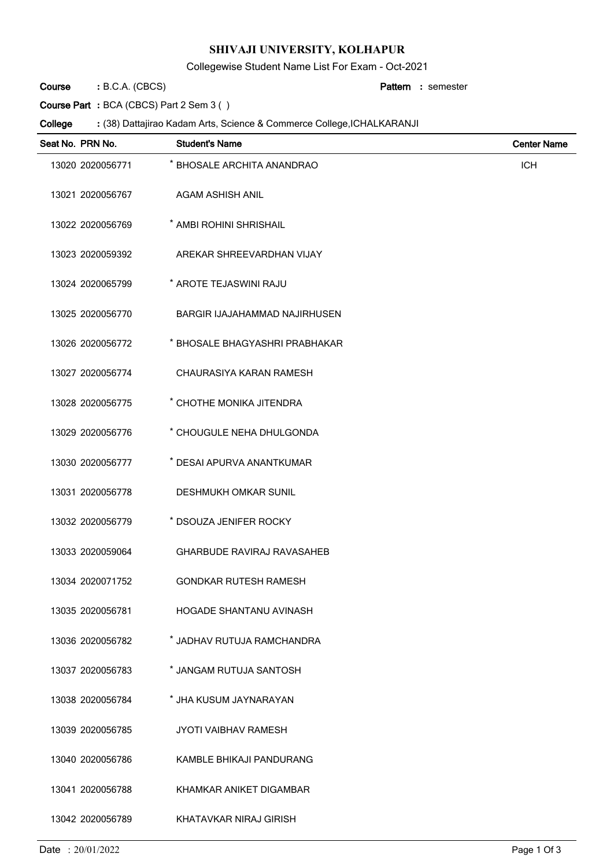## **SHIVAJI UNIVERSITY, KOLHAPUR**

Collegewise Student Name List For Exam - Oct-2021

B.C.A. (CBCS) **: Pattern Course**

semester **:**

**Course Part :** BCA (CBCS) Part 2 Sem 3 ( )

(38) Dattajirao Kadam Arts, Science & Commerce College,ICHALKARANJI **: College**

| Seat No. PRN No. | <b>Student's Name</b>             | <b>Center Name</b> |
|------------------|-----------------------------------|--------------------|
| 13020 2020056771 | * BHOSALE ARCHITA ANANDRAO        | <b>ICH</b>         |
| 13021 2020056767 | AGAM ASHISH ANIL                  |                    |
| 13022 2020056769 | * AMBI ROHINI SHRISHAIL           |                    |
| 13023 2020059392 | AREKAR SHREEVARDHAN VIJAY         |                    |
| 13024 2020065799 | * AROTE TEJASWINI RAJU            |                    |
| 13025 2020056770 | BARGIR IJAJAHAMMAD NAJIRHUSEN     |                    |
| 13026 2020056772 | * BHOSALE BHAGYASHRI PRABHAKAR    |                    |
| 13027 2020056774 | CHAURASIYA KARAN RAMESH           |                    |
| 13028 2020056775 | * CHOTHE MONIKA JITENDRA          |                    |
| 13029 2020056776 | * CHOUGULE NEHA DHULGONDA         |                    |
| 13030 2020056777 | * DESAI APURVA ANANTKUMAR         |                    |
| 13031 2020056778 | <b>DESHMUKH OMKAR SUNIL</b>       |                    |
| 13032 2020056779 | * DSOUZA JENIFER ROCKY            |                    |
| 13033 2020059064 | <b>GHARBUDE RAVIRAJ RAVASAHEB</b> |                    |
| 13034 2020071752 | <b>GONDKAR RUTESH RAMESH</b>      |                    |
| 13035 2020056781 | <b>HOGADE SHANTANU AVINASH</b>    |                    |
| 13036 2020056782 | * JADHAV RUTUJA RAMCHANDRA        |                    |
| 13037 2020056783 | * JANGAM RUTUJA SANTOSH           |                    |
| 13038 2020056784 | * JHA KUSUM JAYNARAYAN            |                    |
| 13039 2020056785 | <b>JYOTI VAIBHAV RAMESH</b>       |                    |
| 13040 2020056786 | KAMBLE BHIKAJI PANDURANG          |                    |
| 13041 2020056788 | KHAMKAR ANIKET DIGAMBAR           |                    |
| 13042 2020056789 | KHATAVKAR NIRAJ GIRISH            |                    |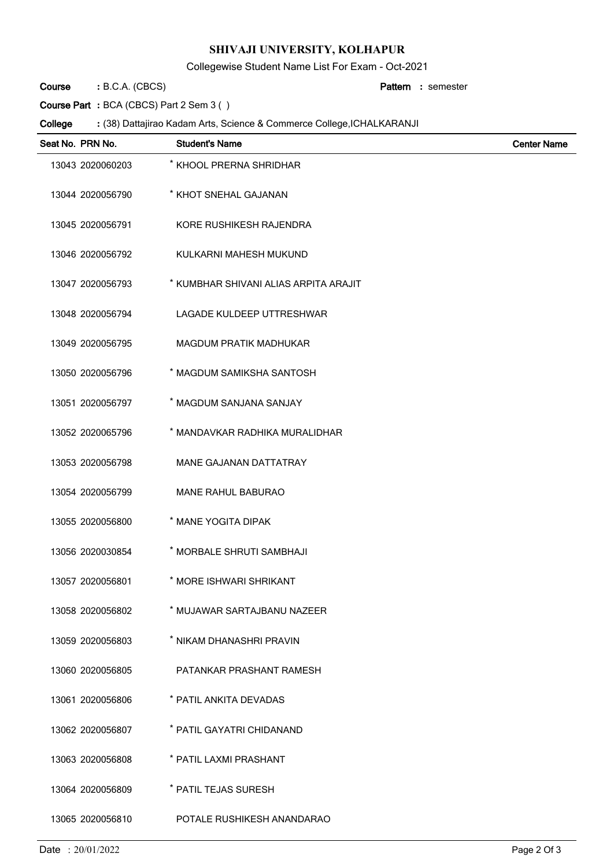## **SHIVAJI UNIVERSITY, KOLHAPUR**

Collegewise Student Name List For Exam - Oct-2021

B.C.A. (CBCS) **: Pattern Course**

semester **:**

**Course Part :** BCA (CBCS) Part 2 Sem 3 ( )

(38) Dattajirao Kadam Arts, Science & Commerce College,ICHALKARANJI **: College**

| Seat No. PRN No. | <b>Student's Name</b>                 | <b>Center Name</b> |
|------------------|---------------------------------------|--------------------|
| 13043 2020060203 | * KHOOL PRERNA SHRIDHAR               |                    |
| 13044 2020056790 | * KHOT SNEHAL GAJANAN                 |                    |
| 13045 2020056791 | KORE RUSHIKESH RAJENDRA               |                    |
| 13046 2020056792 | KULKARNI MAHESH MUKUND                |                    |
| 13047 2020056793 | * KUMBHAR SHIVANI ALIAS ARPITA ARAJIT |                    |
| 13048 2020056794 | LAGADE KULDEEP UTTRESHWAR             |                    |
| 13049 2020056795 | <b>MAGDUM PRATIK MADHUKAR</b>         |                    |
| 13050 2020056796 | * MAGDUM SAMIKSHA SANTOSH             |                    |
| 13051 2020056797 | * MAGDUM SANJANA SANJAY               |                    |
| 13052 2020065796 | * MANDAVKAR RADHIKA MURALIDHAR        |                    |
| 13053 2020056798 | <b>MANE GAJANAN DATTATRAY</b>         |                    |
| 13054 2020056799 | <b>MANE RAHUL BABURAO</b>             |                    |
| 13055 2020056800 | * MANE YOGITA DIPAK                   |                    |
| 13056 2020030854 | * MORBALE SHRUTI SAMBHAJI             |                    |
| 13057 2020056801 | * MORE ISHWARI SHRIKANT               |                    |
| 13058 2020056802 | * MUJAWAR SARTAJBANU NAZEER           |                    |
| 13059 2020056803 | * NIKAM DHANASHRI PRAVIN              |                    |
| 13060 2020056805 | PATANKAR PRASHANT RAMESH              |                    |
| 13061 2020056806 | * PATIL ANKITA DEVADAS                |                    |
| 13062 2020056807 | * PATIL GAYATRI CHIDANAND             |                    |
| 13063 2020056808 | * PATIL LAXMI PRASHANT                |                    |
| 13064 2020056809 | * PATIL TEJAS SURESH                  |                    |
| 13065 2020056810 | POTALE RUSHIKESH ANANDARAO            |                    |